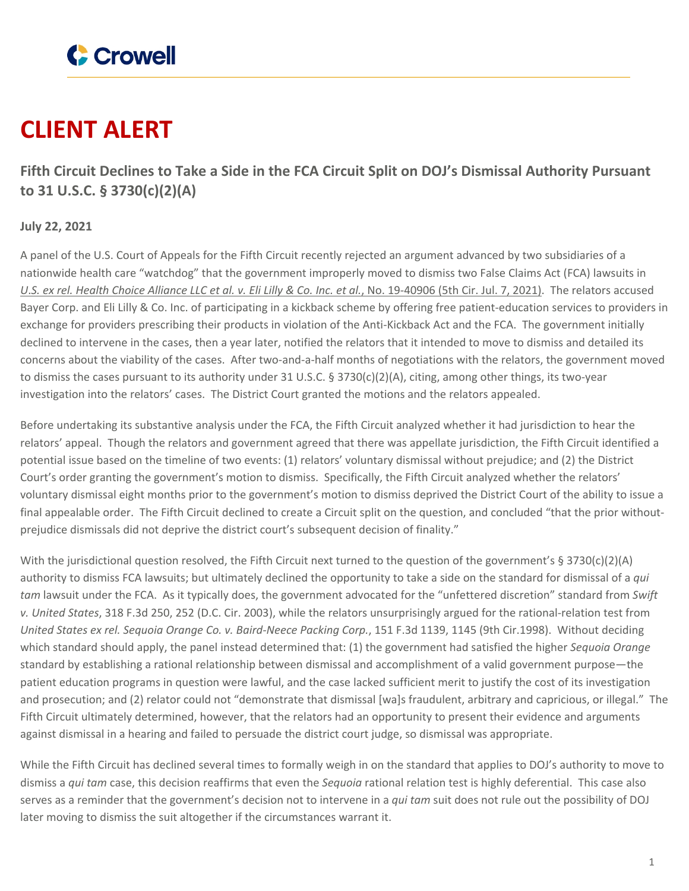

# **CLIENT ALERT**

**Fifth Circuit Declines to Take a Side in the FCA Circuit Split on DOJ's Dismissal Authority Pursuant to 31 U.S.C. § 3730(c)(2)(A)**

## **July 22, 2021**

A panel of the U.S. Court of Appeals for the Fifth Circuit recently rejected an argument advanced by two subsidiaries of a nationwide health care "watchdog" that the government improperly moved to dismiss two False Claims Act (FCA) lawsuits in U.S. ex rel. Health Choice Alliance LLC et al. v. Eli Lilly & Co. Inc. et al., No. [19-40906](https://www.ca5.uscourts.gov/opinions/pub/19/19-40906-CV0.pdf) (5th Cir. Jul. 7, 2021). The relators accused Bayer Corp. and Eli Lilly & Co. Inc. of participating in a kickback scheme by offering free patient-education services to providers in exchange for providers prescribing their products in violation of the Anti-Kickback Act and the FCA. The government initially declined to intervene in the cases, then a year later, notified the relators that it intended to move to dismiss and detailed its concerns about the viability of the cases. After two-and-a-half months of negotiations with the relators, the government moved to dismiss the cases pursuant to its authority under 31 U.S.C.  $\S 3730(c)(2)(A)$ , citing, among other things, its two-year investigation into the relators' cases. The District Court granted the motions and the relators appealed.

Before undertaking its substantive analysis under the FCA, the Fifth Circuit analyzed whether it had jurisdiction to hear the relators' appeal. Though the relators and government agreed that there was appellate jurisdiction, the Fifth Circuit identified a potential issue based on the timeline of two events: (1) relators' voluntary dismissal without prejudice; and (2) the District Court's order granting the government's motion to dismiss. Specifically, the Fifth Circuit analyzed whether the relators' voluntary dismissal eight months prior to the government's motion to dismiss deprived the District Court of the ability to issue a final appealable order. The Fifth Circuit declined to create a Circuit split on the question, and concluded "that the prior withoutprejudice dismissals did not deprive the district court's subsequent decision of finality."

With the jurisdictional question resolved, the Fifth Circuit next turned to the question of the government's  $\S 3730(c)(2)(A)$ authority to dismiss FCA lawsuits; but ultimately declined the opportunity to take a side on the standard for dismissal of a *qui tam* lawsuit under the FCA. As it typically does, the government advocated for the "unfettered discretion" standard from *Swift v. United States*, 318 F.3d 250, 252 (D.C. Cir. 2003), while the relators unsurprisingly argued for the rational-relation test from *United States ex rel. Sequoia Orange Co. v. Baird-Neece Packing Corp.*, 151 F.3d 1139, 1145 (9th Cir.1998). Without deciding which standard should apply, the panel instead determined that: (1) the government had satisfied the higher *Sequoia Orange* standard by establishing a rational relationship between dismissal and accomplishment of a valid government purpose—the patient education programs in question were lawful, and the case lacked sufficient merit to justify the cost of its investigation and prosecution; and (2) relator could not "demonstrate that dismissal [wa]s fraudulent, arbitrary and capricious, or illegal." The Fifth Circuit ultimately determined, however, that the relators had an opportunity to present their evidence and arguments against dismissal in a hearing and failed to persuade the district court judge, so dismissal was appropriate.

While the Fifth Circuit has declined several times to formally weigh in on the standard that applies to DOJ's authority to move to dismiss a *qui tam* case, this decision reaffirms that even the *Sequoia* rational relation test is highly deferential. This case also serves as a reminder that the government's decision not to intervene in a *qui tam* suit does not rule out the possibility of DOJ later moving to dismiss the suit altogether if the circumstances warrant it.